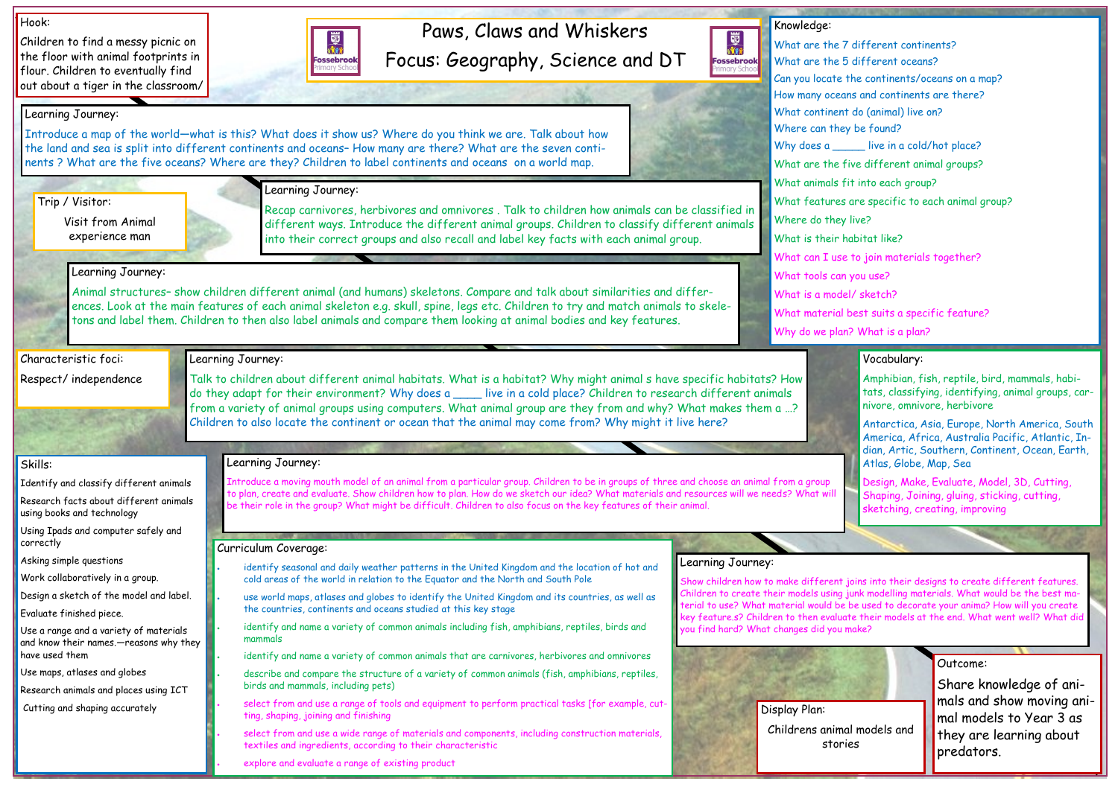# Paws, Claws and Whiskers Focus: Geography, Science and DT

國流 Fossebrook

#### Hook:

Children to find a messy picnic on the floor with animal footprints in flour. Children to eventually find out about a tiger in the classroom/



#### Outcome:

Share knowledge of animals and show moving animal models to Year 3 as they are learning about predators.

Knowledge: Where can they be found? Where do they live? What is their habitat like? What tools can you use? What is a model/ sketch?

- What are the 7 different continents? What are the 5 different oceans? Can you locate the continents/oceans on a map? How many oceans and continents are there? What continent do (animal) live on? Why does a \_\_\_\_\_\_ live in a cold/hot place? What are the five different animal groups? What animals fit into each group? What features are specific to each animal group? What can I use to join materials together?
	-
- What material best suits a specific feature?
- Why do we plan? What is a plan?

Skills:

Identify and classify different animals Research facts about different animals

using books and technology

Using Ipads and computer safely and

correctly

Asking simple questions

Work collaboratively in a group.

Design a sketch of the model and label.

Evaluate finished piece.

Use a range and a variety of materials and know their names.—reasons why they

have used them

Use maps, atlases and globes

Research animals and places using ICT

Cutting and shaping accurately

Learning Journey:

Show children how to make different joins into their designs to create different features. hildren to create their models using junk modelling materials. What would be the best maerial to use? What material would be be used to decorate your anima? How will you create key feature.s? Children to then evaluate their models at the end. What went well? What did ou find hard? What changes did you make?

Introduce a map of the world—what is this? What does it show us? Where do you think we are. Talk about how the land and sea is split into different continents and oceans– How many are there? What are the seven continents ? What are the five oceans? Where are they? Children to label continents and oceans on a world map.

Learning Journey:

Recap carnivores, herbivores and omnivores . Talk to children how animals can be classified in different ways. Introduce the different animal groups. Children to classify different animals into their correct groups and also recall and label key facts with each animal group.

## Learning Journey:

Animal structures– show children different animal (and humans) skeletons. Compare and talk about similarities and differences. Look at the main features of each animal skeleton e.g. skull, spine, legs etc. Children to try and match animals to skeletons and label them. Children to then also label animals and compare them looking at animal bodies and key features.

## Learning Journey:

Talk to children about different animal habitats. What is a habitat? Why might animal s have specific habitats? How do they adapt for their environment? Why does a \_\_\_\_ live in a cold place? Children to research different animals from a variety of animal groups using computers. What animal group are they from and why? What makes them a …? Children to also locate the continent or ocean that the animal may come from? Why might it live here?

## Learning Journey:

### Curriculum Coverage:

- identify seasonal and daily weather patterns in the United Kingdom and the location of hot and cold areas of the world in relation to the Equator and the North and South Pole
- use world maps, atlases and globes to identify the United Kingdom and its countries, as well as the countries, continents and oceans studied at this key stage
- identify and name a variety of common animals including fish, amphibians, reptiles, birds and mammals
- identify and name a variety of common animals that are carnivores, herbivores and omnivores
- describe and compare the structure of a variety of common animals (fish, amphibians, reptiles, birds and mammals, including pets)
- select from and use a range of tools and equipment to perform practical tasks [for example, cutting, shaping, joining and finishing
- select from and use a wide range of materials and components, including construction materials, textiles and ingredients, according to their characteristic
- explore and evaluate a range of existing product

#### Vocabulary:

Amphibian, fish, reptile, bird, mammals, habitats, classifying, identifying, animal groups, carnivore, omnivore, herbivore

Antarctica, Asia, Europe, North America, South America, Africa, Australia Pacific, Atlantic, Indian, Artic, Southern, Continent, Ocean, Earth, Atlas, Globe, Map, Sea

Design, Make, Evaluate, Model, 3D, Cutting, Shaping, Joining, gluing, sticking, cutting, sketching, creating, improving



Trip / Visitor:

Visit from Animal experience man

Characteristic foci:

Respect/ independence

### Learning Journey:

Introduce a moving mouth model of an animal from a particular group. Children to be in groups of three and choose an animal from a group to plan, create and evaluate. Show children how to plan. How do we sketch our idea? What materials and resources will we needs? What will be their role in the group? What might be difficult. Children to also focus on the key features of their animal.